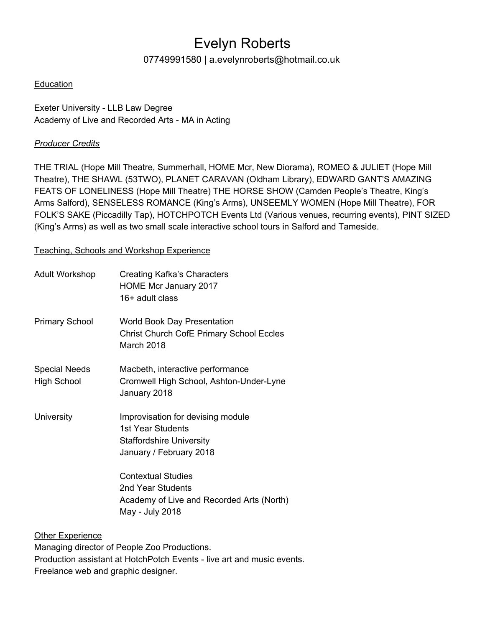# Evelyn Roberts

## 07749991580 | a.evelynroberts@hotmail.co.uk

### Education

Exeter University - LLB Law Degree Academy of Live and Recorded Arts - MA in Acting

### *Producer Credits*

THE TRIAL (Hope Mill Theatre, Summerhall, HOME Mcr, New Diorama), ROMEO & JULIET (Hope Mill Theatre), THE SHAWL (53TWO), PLANET CARAVAN (Oldham Library), EDWARD GANT'S AMAZING FEATS OF LONELINESS (Hope Mill Theatre) THE HORSE SHOW (Camden People's Theatre, King's Arms Salford), SENSELESS ROMANCE (King's Arms), UNSEEMLY WOMEN (Hope Mill Theatre), FOR FOLK'S SAKE (Piccadilly Tap), HOTCHPOTCH Events Ltd (Various venues, recurring events), PINT SIZED (King's Arms) as well as two small scale interactive school tours in Salford and Tameside.

#### Teaching, Schools and Workshop Experience

| Adult Workshop                             | <b>Creating Kafka's Characters</b><br>HOME Mcr January 2017<br>16+ adult class                                       |  |
|--------------------------------------------|----------------------------------------------------------------------------------------------------------------------|--|
| <b>Primary School</b>                      | <b>World Book Day Presentation</b><br><b>Christ Church CofE Primary School Eccles</b><br>March 2018                  |  |
| <b>Special Needs</b><br><b>High School</b> | Macbeth, interactive performance<br>Cromwell High School, Ashton-Under-Lyne<br>January 2018                          |  |
| University                                 | Improvisation for devising module<br>1st Year Students<br><b>Staffordshire University</b><br>January / February 2018 |  |
|                                            | <b>Contextual Studies</b><br>2nd Year Students<br>Academy of Live and Recorded Arts (North)<br>May - July 2018       |  |
| <b>Other Experience</b>                    |                                                                                                                      |  |

Managing director of People Zoo Productions. Production assistant at HotchPotch Events - live art and music events. Freelance web and graphic designer.